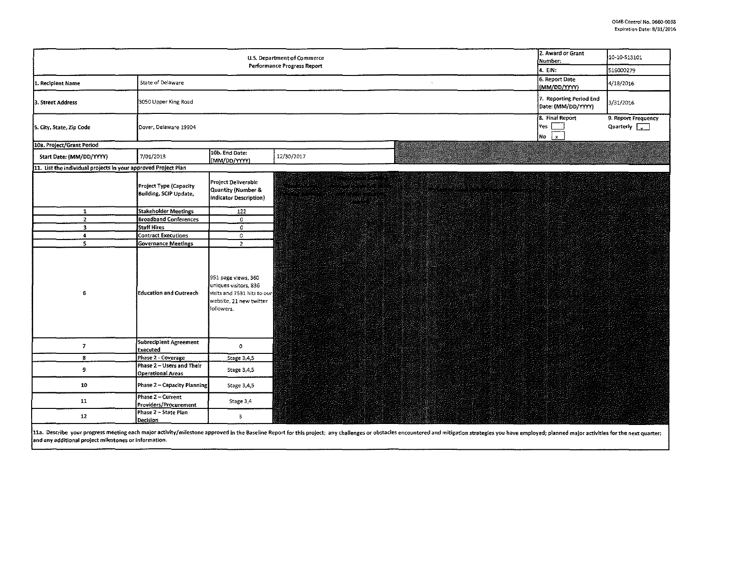| 2. Award or Grant<br>U.S. Department of Commerce<br>Number:<br>Performance Progress Report |                                                       |                                                                                                                      |                                                                                                                                      |                                    |                                                | 10-10-513101                                |  |  |
|--------------------------------------------------------------------------------------------|-------------------------------------------------------|----------------------------------------------------------------------------------------------------------------------|--------------------------------------------------------------------------------------------------------------------------------------|------------------------------------|------------------------------------------------|---------------------------------------------|--|--|
|                                                                                            | 4. EIN:                                               | 516000279                                                                                                            |                                                                                                                                      |                                    |                                                |                                             |  |  |
| 1. Recipient Name                                                                          | State of Delaware                                     |                                                                                                                      |                                                                                                                                      | $\sim$                             | 6. Report Date<br>(MM/DD/YYYY)                 | 4/18/2016                                   |  |  |
| 3. Street Address                                                                          | 3050 Upper King Road                                  |                                                                                                                      |                                                                                                                                      |                                    | 7. Reporting Period End<br>Date: (MM/DD/YYYY)  | 3/31/2016                                   |  |  |
| 5. City, State, Zip Code                                                                   | Dover, Delaware 19904                                 |                                                                                                                      |                                                                                                                                      |                                    | 8. Final Report<br>Yes<br>No<br>$\mathbf{x}$ . | 9. Report Frequency<br>Quarterly $\sqrt{2}$ |  |  |
| 10a. Project/Grant Period                                                                  |                                                       |                                                                                                                      |                                                                                                                                      |                                    |                                                |                                             |  |  |
| Start Date: (MM/DD/YYYY)                                                                   | 7/01/2013                                             | 10b. End Date:<br>(MM/DD/YYYY)                                                                                       | 12/30/2017                                                                                                                           |                                    |                                                |                                             |  |  |
| 11. List the individual projects in your approved Project Plan                             |                                                       |                                                                                                                      |                                                                                                                                      |                                    |                                                |                                             |  |  |
|                                                                                            | Project Type (Capacity<br>Building, SCIP Update,      | Project Deliverable<br>Quantity (Number &<br>Indicator Description)                                                  | na turgeteran trataran ar<br>Linda industria albuman<br>waan yeren saama margarin.<br>waxaa dhiin waxa mid ahaa<br>asa menyawangan k | a kata sa pangangan na nanang pang |                                                |                                             |  |  |
| ${\bf 1}$                                                                                  | Stakeholder Meetings                                  | 122                                                                                                                  |                                                                                                                                      |                                    |                                                |                                             |  |  |
| $\mathbf{z}$                                                                               | <b>Broadband Conferences</b>                          | 0                                                                                                                    |                                                                                                                                      |                                    |                                                |                                             |  |  |
| $\overline{\mathbf{3}}$                                                                    | Staff Hires                                           | $\mathbf 0$                                                                                                          |                                                                                                                                      |                                    |                                                |                                             |  |  |
| $\ddot{\phantom{a}}$                                                                       | <b>Contract Executions</b>                            | 0                                                                                                                    |                                                                                                                                      |                                    |                                                |                                             |  |  |
| $\overline{\mathbf{5}}$                                                                    | <b>Governance Meetings</b>                            | $\overline{z}$                                                                                                       |                                                                                                                                      |                                    |                                                |                                             |  |  |
| 6                                                                                          | Education and Outreach                                | 951 page views, 360<br>uniques visitors, 836<br>visits and 7531 hits to our<br>website, 21 new twitter<br>followers. |                                                                                                                                      |                                    |                                                |                                             |  |  |
| 7                                                                                          | Subrecipient Agreement<br>Executed                    | $\circ$                                                                                                              |                                                                                                                                      |                                    |                                                |                                             |  |  |
| $\mathbf{S}$                                                                               | Phase 2 - Coverage                                    | Stage 3,4,5                                                                                                          |                                                                                                                                      |                                    |                                                |                                             |  |  |
| 9.                                                                                         | Phase 2 - Users and Their<br><b>Operational Areas</b> | Stage 3,4,5                                                                                                          |                                                                                                                                      |                                    |                                                |                                             |  |  |
| 10                                                                                         | Phase 2 - Capacity Planning                           | Stage 3,4,5                                                                                                          |                                                                                                                                      |                                    |                                                |                                             |  |  |
| 11                                                                                         | Phase 2 - Current<br>Providers/Procurement            | Stage 3,4                                                                                                            |                                                                                                                                      |                                    |                                                |                                             |  |  |
| 12 <sub>1</sub>                                                                            | Phase 2 - State Plan<br>Decision                      | $\overline{3}$                                                                                                       |                                                                                                                                      |                                    |                                                |                                             |  |  |

11a. Describe your progress meeting each major activity/milestone approved in the Baseline Report for this project; any challenges or obstacles encountered and mitigation strategies you have employed; planned major activit and any additional project milestones or information.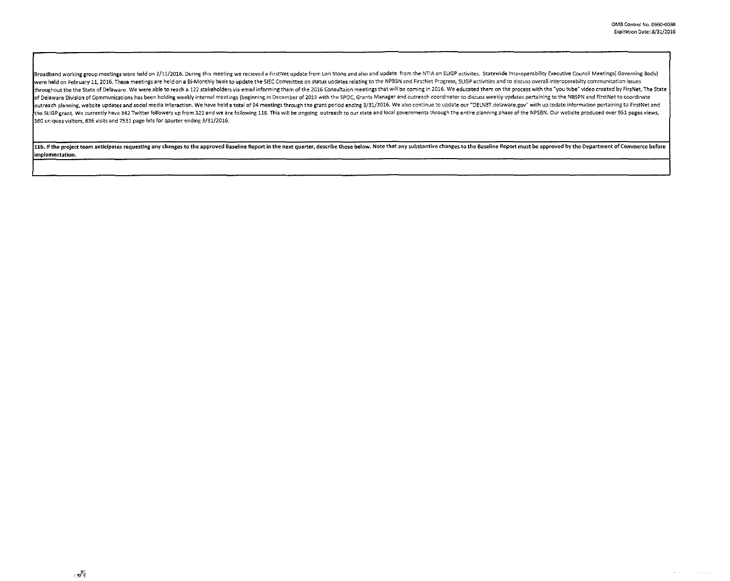$\omega = 120\,\mathrm{GeV}$ 

Broadband working group meetings were held on 2/11/2016. During this meeting we recieved a FirstNet update from Lori Stone and also and update from the NTIA on SLIGP activites. Statewide Interoperability Executive Council were held on February 11, 2016. These meetings are held on a Bi-Monthly basis to update the SIEC Committee on status updates relating to the NPBSN and FirstNet Progress, SLIGP activities and to discuss overall interoperabi Ithroughout the the State of Delaware. We were able to reach a 122 stakeholders via email informing them of the 2016 Consultaion meetings that will be coming in 2016. We educated them on the process with the "you tube" vid of Delaware Division of Communications has been holding weekly internal meetings (beginning in December of 2013 with the SPOC, Grants Manager and outreach coordinato: to discuss weekly updates pertaining to the NBSPN and F outreach planning, website updates and social media interaction. We have held a total of 94 meetings through the grant period ending 3/31/2016. We also continue to update our "DELNET delaware gov" with up todate informatio .<br>Ithe SLIGP grant, We currently have 342 Twitter followers up from 321 and we are following 118. This will be ongoing outreach to our state and local governments through the entire planning phase of the NPSBN. Our website 360 uniques visitors, 836 visits and 7531 page hits for qaurter ending 3/31/2016.

11b. If the project team anticipates requesting any changes to the approved Baseline Report in the next quarter, describe those below. Note that any substantive changes to the Baseline Report must be approved by the Depart implementation.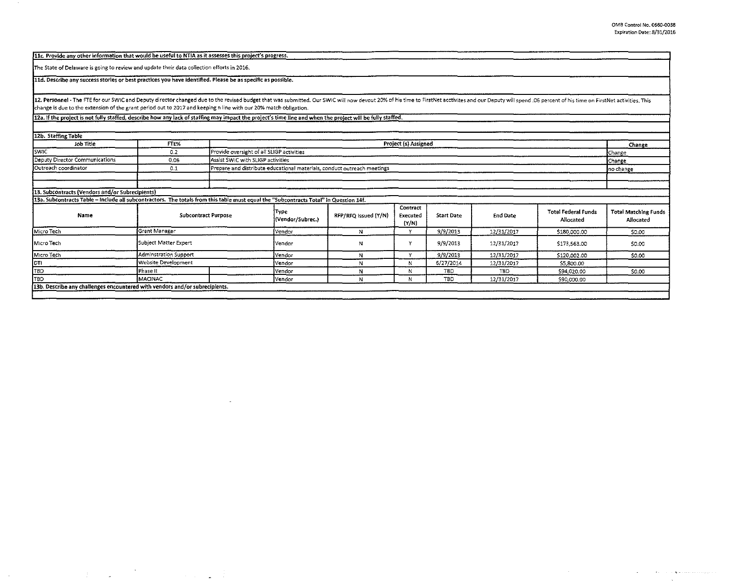والمتوازن ووالمتحدث والمتحدث كالوارد والمتحدث المحاد

llc. Provide any other information that would be useful to NTIA as it assesses this project's progress.

The State of Delaware is going to review and update their data collection efforts in 2016.

 $\sim 3\%$ 

 $\mathcal{L}^{\text{max}}_{\text{max}}$  and  $\mathcal{L}^{\text{max}}_{\text{max}}$ 

and the state of the state of

lld. Describe any success stories or best practices you have identified. Please be as specific as possible.

12. Personnel - The FTE for our SWIC and Deputy director changed due to the revised budget that was submitted. Our SWIC will now devout 20% of his time to FirstNet acctivites and our Deputy will spend .06 percent of his ti change is due to the extension of the grant period out to 2017 and keeping n line with our 20% match obligation.

12a. If the project is not fully staffed, describe how any lack of staffing may impact the project's time line and when the project will be fully staffed.

| 12b. Staffing Table                                                                                                                   |                            |                                                                         |                                           |                      |                               |                   |            |                                         |                                          |  |  |
|---------------------------------------------------------------------------------------------------------------------------------------|----------------------------|-------------------------------------------------------------------------|-------------------------------------------|----------------------|-------------------------------|-------------------|------------|-----------------------------------------|------------------------------------------|--|--|
| Job Title                                                                                                                             | FTE%                       |                                                                         | Project (s) Assigned                      |                      |                               |                   |            |                                         |                                          |  |  |
| <b>SWIC</b>                                                                                                                           | 0.2                        |                                                                         | Provide oversight of all SLIGP activities |                      |                               |                   |            |                                         |                                          |  |  |
| Deputy Director Communications                                                                                                        | 0.06                       | Assist SWIC with SLIGP activities                                       | Change<br><b>C</b> hange                  |                      |                               |                   |            |                                         |                                          |  |  |
| Outreach coordinator                                                                                                                  | 0.1                        | Prepare and distribute educational materials, conduct outreach meetings |                                           |                      | Ino change                    |                   |            |                                         |                                          |  |  |
|                                                                                                                                       |                            |                                                                         |                                           |                      |                               |                   |            |                                         |                                          |  |  |
| 13. Subcontracts (Vendors and/or Subrecipients)                                                                                       |                            |                                                                         |                                           |                      |                               |                   |            |                                         |                                          |  |  |
| 13a. Subcontracts Table - include all subcontractors. The totals from this table must equal the "Subcontracts Total" in Question 14f. |                            |                                                                         |                                           |                      |                               |                   |            |                                         |                                          |  |  |
| Name                                                                                                                                  | <b>Subcontract Purpose</b> |                                                                         | Type<br>(Vendor/Subrec.)                  | RFP/RFQ Issued (Y/N) | Contract<br>Executed<br>(Y/N) | <b>Start Date</b> | End Date   | <b>Total Federal Funds</b><br>Allocated | <b>Total Matching Funds</b><br>Allocated |  |  |
| Micro Tech                                                                                                                            | Grant Manager              |                                                                         | ÍVendor                                   | N.                   | v                             | 9/9/2013          | 12/31/2017 | \$180,000.00                            | \$0.00                                   |  |  |
| Micro Tech                                                                                                                            | Subject Matter Expert      |                                                                         |                                           | N                    | Y                             | 9/9/2013          | 12/31/2017 | \$173,563.00                            | \$0.00                                   |  |  |
| Micro Tech                                                                                                                            | Adminstration Support      |                                                                         |                                           | N                    |                               | 9/9/2013          | 12/31/2017 | \$120,002.00                            | \$0.00                                   |  |  |
| Idti                                                                                                                                  | Website Development        |                                                                         |                                           | N                    | N                             | 6/27/2014         | 12/31/2017 | \$5,800.00                              |                                          |  |  |
| <b>TBD</b>                                                                                                                            | Phase II                   |                                                                         | lVendor                                   | N                    | N                             | <b>TBD</b>        | <b>TBD</b> | \$94,020.00                             | \$0.00                                   |  |  |
| Itbd                                                                                                                                  | MACINAC                    |                                                                         | Vendor                                    |                      | N                             | TBD               | 12/31/2017 | \$90,000.00                             |                                          |  |  |
| (13b. Describe any challenges encountered with vendors and/or subrecipients.                                                          |                            |                                                                         |                                           |                      |                               |                   |            |                                         |                                          |  |  |
|                                                                                                                                       |                            |                                                                         |                                           |                      |                               |                   |            |                                         |                                          |  |  |